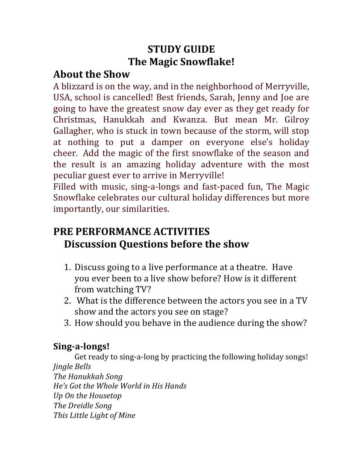# **STUDY GUIDE The Magic Snowflake!**

## **About the Show**

A blizzard is on the way, and in the neighborhood of Merryville, USA, school is cancelled! Best friends, Sarah, Jenny and Joe are going to have the greatest snow day ever as they get ready for Christmas, Hanukkah and Kwanza. But mean Mr. Gilroy Gallagher, who is stuck in town because of the storm, will stop at nothing to put a damper on everyone else's holiday cheer. Add the magic of the first snowflake of the season and the result is an amazing holiday adventure with the most peculiar guest ever to arrive in Merryville!

Filled with music, sing-a-longs and fast-paced fun, The Magic Snowflake celebrates our cultural holiday differences but more importantly, our similarities.

# **PRE PERFORMANCE ACTIVITIES Discussion Ouestions before the show**

- 1. Discuss going to a live performance at a theatre. Have you ever been to a live show before? How is it different from watching TV?
- 2. What is the difference between the actors you see in a TV show and the actors you see on stage?
- 3. How should you behave in the audience during the show?

# **Sing-a-longs!**

Get ready to sing-a-long by practicing the following holiday songs! *Jingle Bells The Hanukkah Song*

*He's Got the Whole World in His Hands Up On the Housetop The Dreidle Song This Little Light of Mine*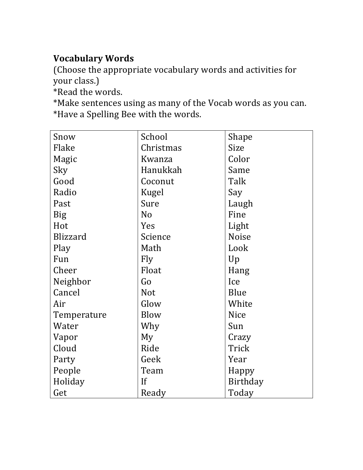# **Vocabulary Words**

(Choose the appropriate vocabulary words and activities for your class.)

\*Read the words.

\*Make sentences using as many of the Vocab words as you can. \*Have a Spelling Bee with the words.

| Snow            | School         | Shape        |
|-----------------|----------------|--------------|
| Flake           | Christmas      | <b>Size</b>  |
| Magic           | Kwanza         | Color        |
| Sky             | Hanukkah       | Same         |
| Good            | Coconut        | Talk         |
| Radio           | Kugel          | Say          |
| Past            | Sure           | Laugh        |
| <b>Big</b>      | N <sub>o</sub> | Fine         |
| Hot             | Yes            | Light        |
| <b>Blizzard</b> | Science        | <b>Noise</b> |
| Play            | Math           | Look         |
| Fun             | Fly            | Up           |
| Cheer           | Float          | Hang         |
| Neighbor        | Go             | Ice          |
| Cancel          | <b>Not</b>     | Blue         |
| Air             | Glow           | White        |
| Temperature     | Blow           | <b>Nice</b>  |
| Water           | Why            | Sun          |
| Vapor           | My             | Crazy        |
| Cloud           | Ride           | Trick        |
| Party           | Geek           | Year         |
| People          | Team           | Happy        |
| Holiday         | If             | Birthday     |
| Get             | Ready          | Today        |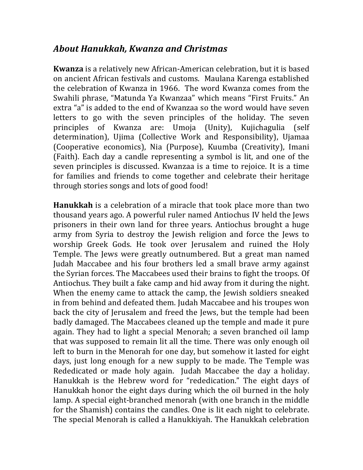#### *About Hanukkah, Kwanza and Christmas*

**Kwanza** is a relatively new African-American celebration, but it is based on ancient African festivals and customs. Maulana Karenga established the celebration of Kwanza in 1966. The word Kwanza comes from the Swahili phrase, "Matunda Ya Kwanzaa" which means "First Fruits." An extra "a" is added to the end of Kwanzaa so the word would have seven letters to go with the seven principles of the holiday. The seven principles of Kwanza are: Umoja (Unity), Kujichagulia (self determination), Ujima (Collective Work and Responsibility), Ujamaa (Cooperative economics), Nia (Purpose), Kuumba (Creativity), Imani (Faith). Each day a candle representing a symbol is lit, and one of the seven principles is discussed. Kwanzaa is a time to rejoice. It is a time for families and friends to come together and celebrate their heritage through stories songs and lots of good food!

**Hanukkah** is a celebration of a miracle that took place more than two thousand years ago. A powerful ruler named Antiochus IV held the Jews prisoners in their own land for three years. Antiochus brought a huge army from Syria to destroy the Jewish religion and force the Jews to worship Greek Gods. He took over Jerusalem and ruined the Holy Temple. The Jews were greatly outnumbered. But a great man named Judah Maccabee and his four brothers led a small brave army against the Syrian forces. The Maccabees used their brains to fight the troops. Of Antiochus. They built a fake camp and hid away from it during the night. When the enemy came to attack the camp, the Jewish soldiers sneaked in from behind and defeated them. Judah Maccabee and his troupes won back the city of Jerusalem and freed the Jews, but the temple had been badly damaged. The Maccabees cleaned up the temple and made it pure again. They had to light a special Menorah; a seven branched oil lamp that was supposed to remain lit all the time. There was only enough oil left to burn in the Menorah for one day, but somehow it lasted for eight days, just long enough for a new supply to be made. The Temple was Rededicated or made holy again. Judah Maccabee the day a holiday. Hanukkah is the Hebrew word for "rededication." The eight days of Hanukkah honor the eight days during which the oil burned in the holy lamp. A special eight-branched menorah (with one branch in the middle for the Shamish) contains the candles. One is lit each night to celebrate. The special Menorah is called a Hanukkiyah. The Hanukkah celebration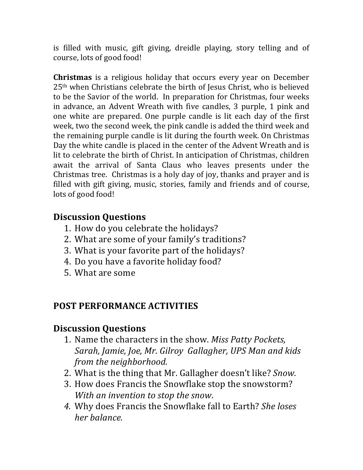is filled with music, gift giving, dreidle playing, story telling and of course, lots of good food!

**Christmas** is a religious holiday that occurs every year on December  $25<sup>th</sup>$  when Christians celebrate the birth of Jesus Christ, who is believed to be the Savior of the world. In preparation for Christmas, four weeks in advance, an Advent Wreath with five candles, 3 purple, 1 pink and one white are prepared. One purple candle is lit each day of the first week, two the second week, the pink candle is added the third week and the remaining purple candle is lit during the fourth week. On Christmas Day the white candle is placed in the center of the Advent Wreath and is lit to celebrate the birth of Christ. In anticipation of Christmas, children await the arrival of Santa Claus who leaves presents under the Christmas tree. Christmas is a holy day of joy, thanks and prayer and is filled with gift giving, music, stories, family and friends and of course, lots of good food!

#### **Discussion Questions**

- 1. How do you celebrate the holidays?
- 2. What are some of your family's traditions?
- 3. What is your favorite part of the holidays?
- 4. Do you have a favorite holiday food?
- 5. What are some

### **POST PERFORMANCE ACTIVITIES**

#### **Discussion Questions**

- 1. Name the characters in the show. *Miss Patty Pockets*, Sarah, Jamie, Joe, Mr. Gilroy Gallagher, UPS Man and kids *from the neighborhood.*
- 2. What is the thing that Mr. Gallagher doesn't like? *Snow*.
- 3. How does Francis the Snowflake stop the snowstorm? *With an invention to stop the snow.*
- *4.* Why does Francis the Snowflake fall to Earth? *She loses her balance.*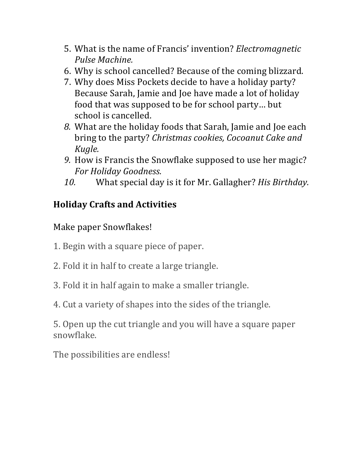- 5. What is the name of Francis' invention? *Electromagnetic Pulse Machine.*
- 6. Why is school cancelled? Because of the coming blizzard.
- 7. Why does Miss Pockets decide to have a holiday party? Because Sarah, Jamie and Joe have made a lot of holiday food that was supposed to be for school party... but school is cancelled.
- *8.* What are the holiday foods that Sarah, Jamie and Joe each bring to the party? *Christmas cookies, Cocoanut Cake and Kugle.*
- *9.* How is Francis the Snowflake supposed to use her magic? *For Holiday Goodness.*
- 10. What special day is it for Mr. Gallagher? *His Birthday*.

## **Holiday Crafts and Activities**

#### Make paper Snowflakes!

- 1. Begin with a square piece of paper.
- 2. Fold it in half to create a large triangle.
- 3. Fold it in half again to make a smaller triangle.
- 4. Cut a variety of shapes into the sides of the triangle.

5. Open up the cut triangle and you will have a square paper snowflake. 

The possibilities are endless!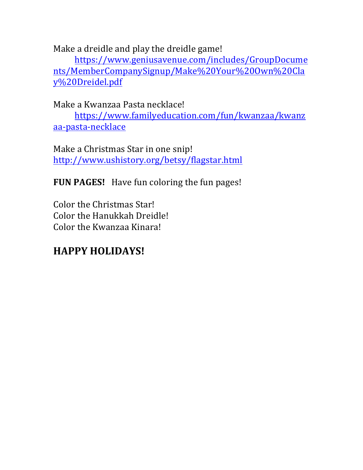Make a dreidle and play the dreidle game!

https://www.geniusavenue.com/includes/GroupDocume nts/MemberCompanySignup/Make%20Your%20Own%20Cla y%20Dreidel.pdf

Make a Kwanzaa Pasta necklace!

https://www.familyeducation.com/fun/kwanzaa/kwanz aa-pasta-necklace

Make a Christmas Star in one snip! http://www.ushistory.org/betsy/flagstar.html

**FUN PAGES!** Have fun coloring the fun pages!

Color the Christmas Star! Color the Hanukkah Dreidle! Color the Kwanzaa Kinara!

# **HAPPY HOLIDAYS!**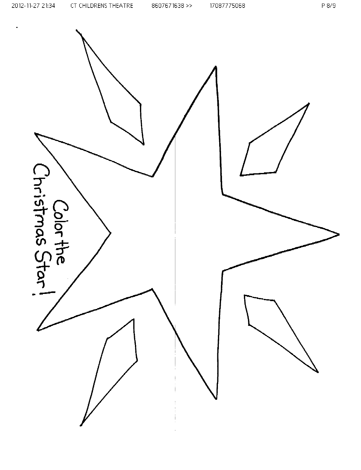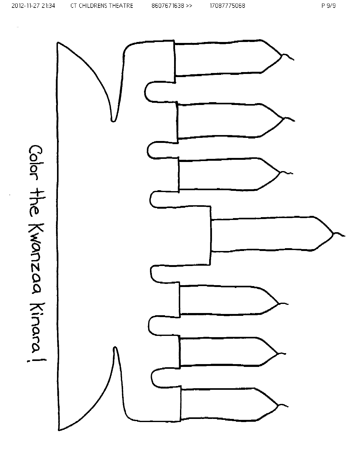